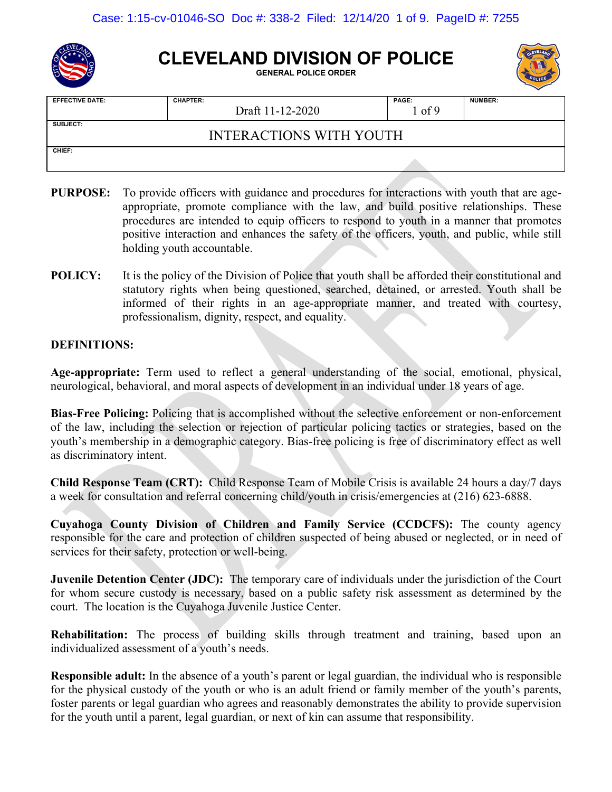

# **CLEVELAND DIVISION OF POLICE**

**GENERAL POLICE ORDER**



| <b>EFFECTIVE DATE:</b> | <b>CHAPTER:</b><br>Draft 11-12-2020 | PAGE:<br>l of 9 | <b>NUMBER:</b> |
|------------------------|-------------------------------------|-----------------|----------------|
| <b>SUBJECT:</b>        | <b>INTERACTIONS WITH YOUTH</b>      |                 |                |
| CHIEF:                 |                                     |                 |                |

- **PURPOSE:** To provide officers with guidance and procedures for interactions with youth that are ageappropriate, promote compliance with the law, and build positive relationships. These procedures are intended to equip officers to respond to youth in a manner that promotes positive interaction and enhances the safety of the officers, youth, and public, while still holding youth accountable.
- **POLICY:** It is the policy of the Division of Police that youth shall be afforded their constitutional and statutory rights when being questioned, searched, detained, or arrested. Youth shall be informed of their rights in an age-appropriate manner, and treated with courtesy, professionalism, dignity, respect, and equality.

## **DEFINITIONS:**

**Age-appropriate:** Term used to reflect a general understanding of the social, emotional, physical, neurological, behavioral, and moral aspects of development in an individual under 18 years of age.

**Bias-Free Policing:** Policing that is accomplished without the selective enforcement or non-enforcement of the law, including the selection or rejection of particular policing tactics or strategies, based on the youth's membership in a demographic category. Bias-free policing is free of discriminatory effect as well as discriminatory intent.

**Child Response Team (CRT):** Child Response Team of Mobile Crisis is available 24 hours a day/7 days a week for consultation and referral concerning child/youth in crisis/emergencies at (216) 623-6888.

**Cuyahoga County Division of Children and Family Service (CCDCFS):** The county agency responsible for the care and protection of children suspected of being abused or neglected, or in need of services for their safety, protection or well-being.

**Juvenile Detention Center (JDC):** The temporary care of individuals under the jurisdiction of the Court for whom secure custody is necessary, based on a public safety risk assessment as determined by the court. The location is the Cuyahoga Juvenile Justice Center.

**Rehabilitation:** The process of building skills through treatment and training, based upon an individualized assessment of a youth's needs.

**Responsible adult:** In the absence of a youth's parent or legal guardian, the individual who is responsible for the physical custody of the youth or who is an adult friend or family member of the youth's parents, foster parents or legal guardian who agrees and reasonably demonstrates the ability to provide supervision for the youth until a parent, legal guardian, or next of kin can assume that responsibility.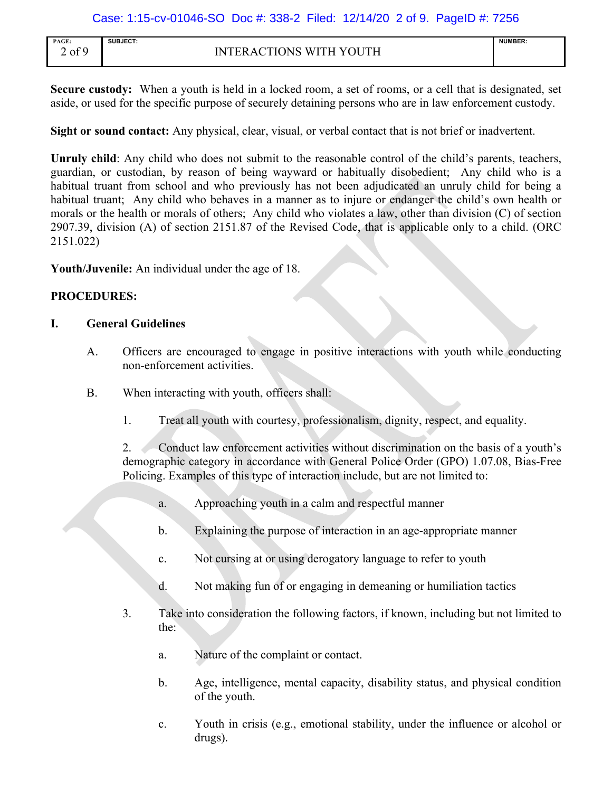Case: 1:15-cv-01046-SO Doc #: 338-2 Filed: 12/14/20 2 of 9. PageID #: 7256

| PAGE: | SUBJECT:                                                  | <b>NUMBER:</b>                                                                  |
|-------|-----------------------------------------------------------|---------------------------------------------------------------------------------|
|       | .                                                         | the contract of the contract of the contract of the contract of the contract of |
| of 9  | WITH YOUTH<br>$\gamma$ tions<br>۹N۱<br>к<br>н<br>$\Delta$ |                                                                                 |

**Secure custody:** When a youth is held in a locked room, a set of rooms, or a cell that is designated, set aside, or used for the specific purpose of securely detaining persons who are in law enforcement custody.

**Sight or sound contact:** Any physical, clear, visual, or verbal contact that is not brief or inadvertent.

**Unruly child**: Any child who does not submit to the reasonable control of the child's parents, teachers, guardian, or custodian, by reason of being wayward or habitually disobedient; Any child who is a habitual truant from school and who previously has not been adjudicated an unruly child for being a habitual truant; Any child who behaves in a manner as to injure or endanger the child's own health or morals or the health or morals of others; Any child who violates a law, other than division (C) of section 2907.39, division (A) of section 2151.87 of the Revised Code, that is applicable only to a child. (ORC 2151.022)

**Youth/Juvenile:** An individual under the age of 18.

## **PROCEDURES:**

## **I. General Guidelines**

- A. Officers are encouraged to engage in positive interactions with youth while conducting non-enforcement activities.
- B. When interacting with youth, officers shall:
	- 1. Treat all youth with courtesy, professionalism, dignity, respect, and equality.

2. Conduct law enforcement activities without discrimination on the basis of a youth's demographic category in accordance with General Police Order (GPO) 1.07.08, Bias-Free Policing. Examples of this type of interaction include, but are not limited to:

- a. Approaching youth in a calm and respectful manner
- b. Explaining the purpose of interaction in an age-appropriate manner
- c. Not cursing at or using derogatory language to refer to youth
- d. Not making fun of or engaging in demeaning or humiliation tactics
- 3. Take into consideration the following factors, if known, including but not limited to the:
	- a. Nature of the complaint or contact.
	- b. Age, intelligence, mental capacity, disability status, and physical condition of the youth.
	- c. Youth in crisis (e.g., emotional stability, under the influence or alcohol or drugs).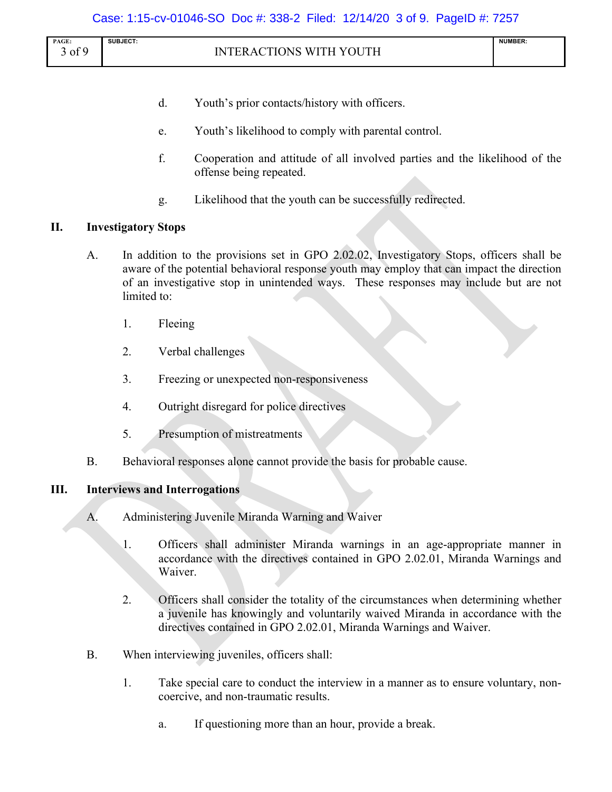| PAGE:                         | SUBJECT:<br>.                                                                                    | <b>NUMBER:</b><br>the contract of the contract of the contract of |
|-------------------------------|--------------------------------------------------------------------------------------------------|-------------------------------------------------------------------|
| f٥<br>∩t<br>$\cdot$ UI $\sim$ | <b>TUTITU</b><br><b>INS</b><br>$\mathbf{L}$<br>ъ<br>M <sub>1</sub><br>п<br>К<br>. .<br>-<br>. 11 |                                                                   |

- d. Youth's prior contacts/history with officers.
- e. Youth's likelihood to comply with parental control.
- f. Cooperation and attitude of all involved parties and the likelihood of the offense being repeated.
- g. Likelihood that the youth can be successfully redirected.

## **II. Investigatory Stops**

- A. In addition to the provisions set in GPO 2.02.02, Investigatory Stops, officers shall be aware of the potential behavioral response youth may employ that can impact the direction of an investigative stop in unintended ways. These responses may include but are not limited to:
	- 1. Fleeing
	- 2. Verbal challenges
	- 3. Freezing or unexpected non-responsiveness
	- 4. Outright disregard for police directives
	- 5. Presumption of mistreatments
- B. Behavioral responses alone cannot provide the basis for probable cause.

## **III. Interviews and Interrogations**

- A. Administering Juvenile Miranda Warning and Waiver
	- 1. Officers shall administer Miranda warnings in an age-appropriate manner in accordance with the directives contained in GPO 2.02.01, Miranda Warnings and Waiver.
	- 2. Officers shall consider the totality of the circumstances when determining whether a juvenile has knowingly and voluntarily waived Miranda in accordance with the directives contained in GPO 2.02.01, Miranda Warnings and Waiver.
- B. When interviewing juveniles, officers shall:
	- 1. Take special care to conduct the interview in a manner as to ensure voluntary, noncoercive, and non-traumatic results.
		- a. If questioning more than an hour, provide a break.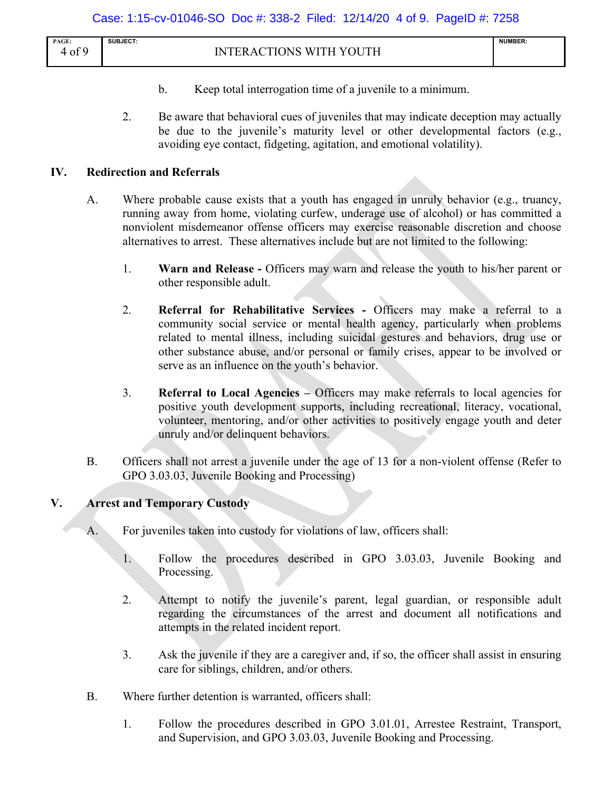| PAGE: | <b>SUBJECT:</b>                                                                       | <b>NUMBER:</b> |
|-------|---------------------------------------------------------------------------------------|----------------|
| of 9  | . WI <sup>-</sup><br>TTH<br>NNS<br>17<br>$\mathbf{v}$<br>M.<br>' A (<br>. K<br>$\sim$ |                |

- b. Keep total interrogation time of a juvenile to a minimum.
- 2. Be aware that behavioral cues of juveniles that may indicate deception may actually be due to the juvenile's maturity level or other developmental factors (e.g., avoiding eye contact, fidgeting, agitation, and emotional volatility).

## **IV. Redirection and Referrals**

- A. Where probable cause exists that a youth has engaged in unruly behavior (e.g., truancy, running away from home, violating curfew, underage use of alcohol) or has committed a nonviolent misdemeanor offense officers may exercise reasonable discretion and choose alternatives to arrest. These alternatives include but are not limited to the following:
	- 1. **Warn and Release -** Officers may warn and release the youth to his/her parent or other responsible adult.
	- 2. **Referral for Rehabilitative Services -** Officers may make a referral to a community social service or mental health agency, particularly when problems related to mental illness, including suicidal gestures and behaviors, drug use or other substance abuse, and/or personal or family crises, appear to be involved or serve as an influence on the youth's behavior.
	- 3. **Referral to Local Agencies –** Officers may make referrals to local agencies for positive youth development supports, including recreational, literacy, vocational, volunteer, mentoring, and/or other activities to positively engage youth and deter unruly and/or delinquent behaviors.
- B. Officers shall not arrest a juvenile under the age of 13 for a non-violent offense (Refer to GPO 3.03.03, Juvenile Booking and Processing)

## **V. Arrest and Temporary Custody**

- A. For juveniles taken into custody for violations of law, officers shall:
	- 1. Follow the procedures described in GPO 3.03.03, Juvenile Booking and Processing.
	- 2. Attempt to notify the juvenile's parent, legal guardian, or responsible adult regarding the circumstances of the arrest and document all notifications and attempts in the related incident report.
	- 3. Ask the juvenile if they are a caregiver and, if so, the officer shall assist in ensuring care for siblings, children, and/or others.
- B. Where further detention is warranted, officers shall:
	- 1. Follow the procedures described in GPO 3.01.01, Arrestee Restraint, Transport, and Supervision, and GPO 3.03.03, Juvenile Booking and Processing.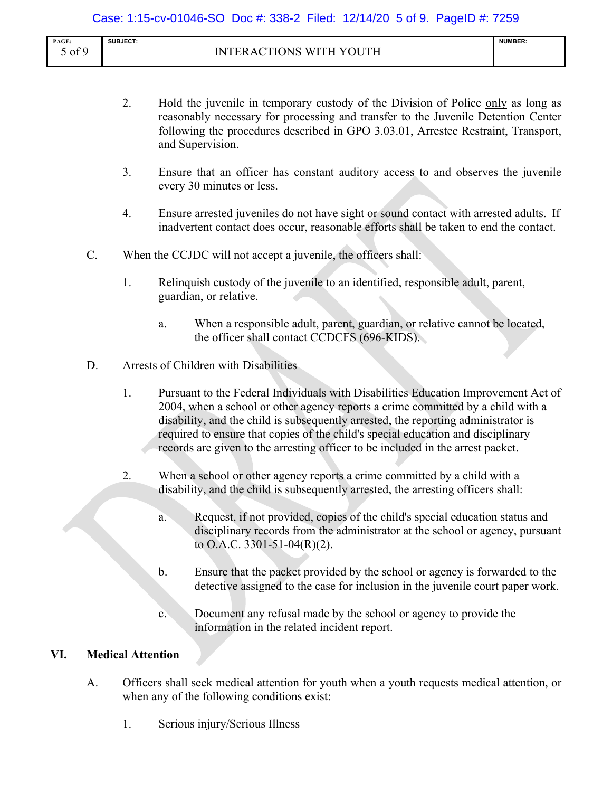| PAGE:        | <b>SUBJECT:</b>                                         | <b>NUMBER:</b> |
|--------------|---------------------------------------------------------|----------------|
| £Ο<br>` Oİ ∠ | YOUTH<br>INS<br>AZ L<br>ъ,<br>'N.<br>к<br>$\Delta$<br>◡ |                |
|              |                                                         |                |

- 2. Hold the juvenile in temporary custody of the Division of Police only as long as reasonably necessary for processing and transfer to the Juvenile Detention Center following the procedures described in GPO 3.03.01, Arrestee Restraint, Transport, and Supervision.
- 3. Ensure that an officer has constant auditory access to and observes the juvenile every 30 minutes or less.
- 4. Ensure arrested juveniles do not have sight or sound contact with arrested adults. If inadvertent contact does occur, reasonable efforts shall be taken to end the contact.
- C. When the CCJDC will not accept a juvenile, the officers shall:
	- 1. Relinquish custody of the juvenile to an identified, responsible adult, parent, guardian, or relative.
		- a. When a responsible adult, parent, guardian, or relative cannot be located, the officer shall contact CCDCFS (696-KIDS).
- D. Arrests of Children with Disabilities
	- 1. Pursuant to the Federal Individuals with Disabilities Education Improvement Act of 2004, when a school or other agency reports a crime committed by a child with a disability, and the child is subsequently arrested, the reporting administrator is required to ensure that copies of the child's special education and disciplinary records are given to the arresting officer to be included in the arrest packet.
	- 2. When a school or other agency reports a crime committed by a child with a disability, and the child is subsequently arrested, the arresting officers shall:
		- a. Request, if not provided, copies of the child's special education status and disciplinary records from the administrator at the school or agency, pursuant to O.A.C. 3301-51-04(R)(2).
		- b. Ensure that the packet provided by the school or agency is forwarded to the detective assigned to the case for inclusion in the juvenile court paper work.
		- c. Document any refusal made by the school or agency to provide the information in the related incident report.

## **VI. Medical Attention**

- A. Officers shall seek medical attention for youth when a youth requests medical attention, or when any of the following conditions exist:
	- 1. Serious injury/Serious Illness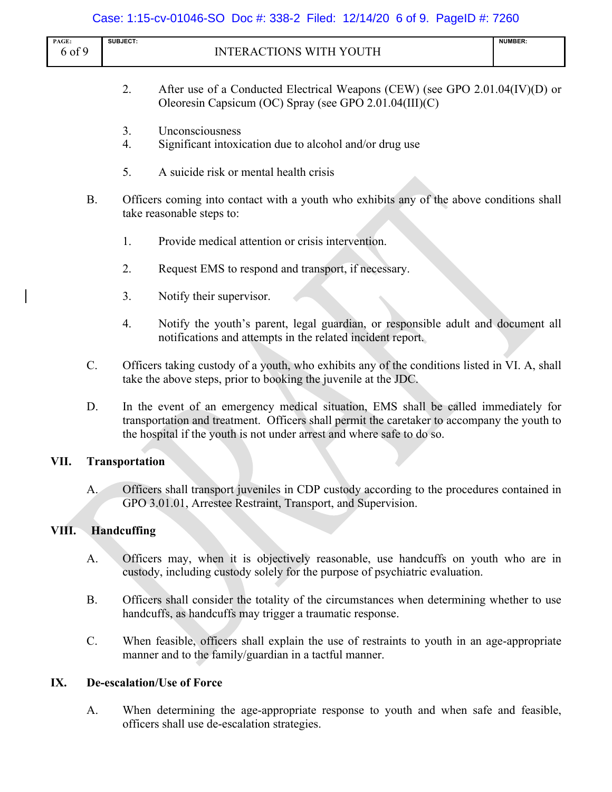|                 |           | Case: 1:15-cv-01046-SO Doc #: 338-2 Filed: 12/14/20 6 of 9. PageID #: 7260                                                                                                                                                                                   |                |
|-----------------|-----------|--------------------------------------------------------------------------------------------------------------------------------------------------------------------------------------------------------------------------------------------------------------|----------------|
| PAGE:<br>6 of 9 |           | SUBJECT:<br><b>INTERACTIONS WITH YOUTH</b>                                                                                                                                                                                                                   | <b>NUMBER:</b> |
|                 |           | 2.<br>After use of a Conducted Electrical Weapons (CEW) (see GPO 2.01.04(IV)(D) or<br>Oleoresin Capsicum (OC) Spray (see GPO 2.01.04(III)(C)                                                                                                                 |                |
|                 |           | Unconsciousness<br>3.<br>4.<br>Significant intoxication due to alcohol and/or drug use                                                                                                                                                                       |                |
|                 |           | 5.<br>A suicide risk or mental health crisis                                                                                                                                                                                                                 |                |
|                 | <b>B.</b> | Officers coming into contact with a youth who exhibits any of the above conditions shall<br>take reasonable steps to:                                                                                                                                        |                |
|                 |           | 1.<br>Provide medical attention or crisis intervention.                                                                                                                                                                                                      |                |
|                 |           | 2.<br>Request EMS to respond and transport, if necessary.                                                                                                                                                                                                    |                |
|                 |           | 3.<br>Notify their supervisor.                                                                                                                                                                                                                               |                |
|                 |           | Notify the youth's parent, legal guardian, or responsible adult and document all<br>4.<br>notifications and attempts in the related incident report.                                                                                                         |                |
|                 | C.        | Officers taking custody of a youth, who exhibits any of the conditions listed in VI. A, shall<br>take the above steps, prior to booking the juvenile at the JDC.                                                                                             |                |
|                 | D.        | In the event of an emergency medical situation, EMS shall be called immediately for<br>transportation and treatment. Officers shall permit the caretaker to accompany the youth to<br>the hospital if the youth is not under arrest and where safe to do so. |                |
| VII.            |           | <b>Transportation</b>                                                                                                                                                                                                                                        |                |
|                 | A.        | Officers shall transport juveniles in CDP custody according to the procedures contained in<br>GPO 3.01.01, Arrestee Restraint, Transport, and Supervision.                                                                                                   |                |
| VIII.           |           | Handcuffing                                                                                                                                                                                                                                                  |                |
|                 | A.        | Officers may, when it is objectively reasonable, use handcuffs on youth who are in<br>custody, including custody solely for the purpose of psychiatric evaluation.                                                                                           |                |
|                 | <b>B.</b> | Officers shall consider the totality of the circumstances when determining whether to use<br>handcuffs, as handcuffs may trigger a traumatic response.                                                                                                       |                |
|                 | C.        | When feasible, officers shall explain the use of restraints to youth in an age-appropriate<br>manner and to the family/guardian in a tactful manner.                                                                                                         |                |

## **IX. De-escalation/Use of Force**

A. When determining the age-appropriate response to youth and when safe and feasible, officers shall use de-escalation strategies.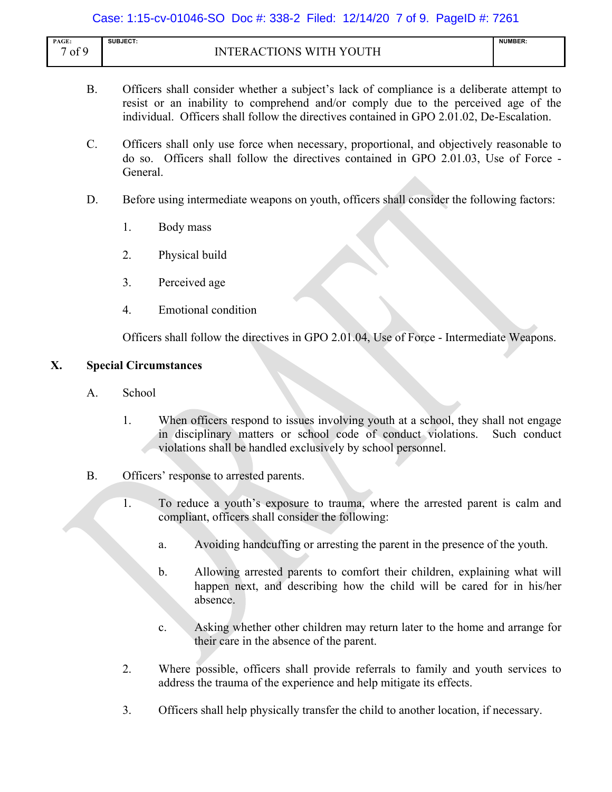## Case: 1:15-cv-01046-SO Doc #: 338-2 Filed: 12/14/20 7 of 9. PageID #: 7261

| PAGE:          | <b>SUBJECT:</b>                                            | <b>NUMBER:</b> |
|----------------|------------------------------------------------------------|----------------|
| £Ο<br>$'$ of . | WITH VOLITH<br><b>INIS</b><br>TN.<br>TC<br>. A (<br><br>к. |                |
|                |                                                            |                |

- B. Officers shall consider whether a subject's lack of compliance is a deliberate attempt to resist or an inability to comprehend and/or comply due to the perceived age of the individual. Officers shall follow the directives contained in GPO 2.01.02, De-Escalation.
- C. Officers shall only use force when necessary, proportional, and objectively reasonable to do so. Officers shall follow the directives contained in GPO 2.01.03, Use of Force - General.
- D. Before using intermediate weapons on youth, officers shall consider the following factors:
	- 1. Body mass
	- 2. Physical build
	- 3. Perceived age
	- 4. Emotional condition

Officers shall follow the directives in GPO 2.01.04, Use of Force - Intermediate Weapons.

## **X. Special Circumstances**

- A. School
	- 1. When officers respond to issues involving youth at a school, they shall not engage in disciplinary matters or school code of conduct violations. Such conduct violations shall be handled exclusively by school personnel.
- B. Officers' response to arrested parents.
	- 1. To reduce a youth's exposure to trauma, where the arrested parent is calm and compliant, officers shall consider the following:
		- a. Avoiding handcuffing or arresting the parent in the presence of the youth.
		- b. Allowing arrested parents to comfort their children, explaining what will happen next, and describing how the child will be cared for in his/her absence.
		- c. Asking whether other children may return later to the home and arrange for their care in the absence of the parent.
	- 2. Where possible, officers shall provide referrals to family and youth services to address the trauma of the experience and help mitigate its effects.
	- 3. Officers shall help physically transfer the child to another location, if necessary.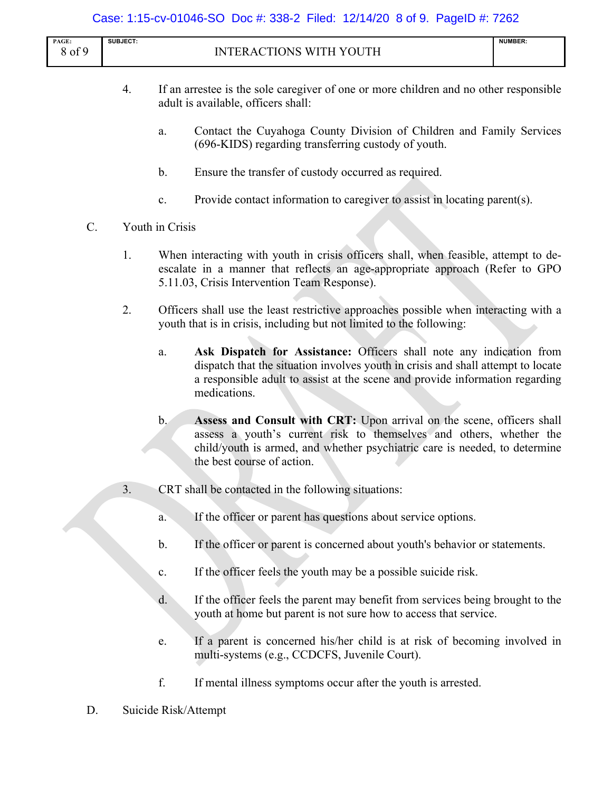## Case: 1:15-cv-01046-SO Doc #: 338-2 Filed: 12/14/20 8 of 9. PageID #: 7262

| PAGE:                   | <b>SUBJECT:</b>                                                                                      | <b>NUMBER:</b> |
|-------------------------|------------------------------------------------------------------------------------------------------|----------------|
| $\sim$ $\sim$<br>´ OI . | WITH YOUTH<br>ONS<br><b>INTER</b><br>$\lceil \cdot \rceil$ Trunk $\lceil \cdot \rceil$<br>$\Delta$ ( |                |

- 4. If an arrestee is the sole caregiver of one or more children and no other responsible adult is available, officers shall:
	- a. Contact the Cuyahoga County Division of Children and Family Services (696-KIDS) regarding transferring custody of youth.
	- b. Ensure the transfer of custody occurred as required.
	- c. Provide contact information to caregiver to assist in locating parent(s).
- C. Youth in Crisis
	- 1. When interacting with youth in crisis officers shall, when feasible, attempt to deescalate in a manner that reflects an age-appropriate approach (Refer to GPO 5.11.03, Crisis Intervention Team Response).
	- 2. Officers shall use the least restrictive approaches possible when interacting with a youth that is in crisis, including but not limited to the following:
		- a. **Ask Dispatch for Assistance:** Officers shall note any indication from dispatch that the situation involves youth in crisis and shall attempt to locate a responsible adult to assist at the scene and provide information regarding medications.
		- b. **Assess and Consult with CRT:** Upon arrival on the scene, officers shall assess a youth's current risk to themselves and others, whether the child/youth is armed, and whether psychiatric care is needed, to determine the best course of action.
	- 3. CRT shall be contacted in the following situations:
		- a. If the officer or parent has questions about service options.
		- b. If the officer or parent is concerned about youth's behavior or statements.
		- c. If the officer feels the youth may be a possible suicide risk.
		- d. If the officer feels the parent may benefit from services being brought to the youth at home but parent is not sure how to access that service.
		- e. If a parent is concerned his/her child is at risk of becoming involved in multi-systems (e.g., CCDCFS, Juvenile Court).
		- f. If mental illness symptoms occur after the youth is arrested.
- D. Suicide Risk/Attempt